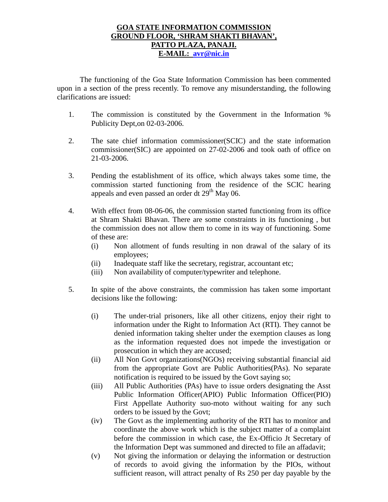## **GOA STATE INFORMATION COMMISSION GROUND FLOOR, 'SHRAM SHAKTI BHAVAN', PATTO PLAZA, PANAJI. E-MAIL: avr@nic.in**

The functioning of the Goa State Information Commission has been commented upon in a section of the press recently. To remove any misunderstanding, the following clarifications are issued:

- 1. The commission is constituted by the Government in the Information % Publicity Dept,on 02-03-2006.
- 2. The sate chief information commissioner(SCIC) and the state information commissioner(SIC) are appointed on 27-02-2006 and took oath of office on 21-03-2006.
- 3. Pending the establishment of its office, which always takes some time, the commission started functioning from the residence of the SCIC hearing appeals and even passed an order dt  $29<sup>th</sup>$  May 06.
- 4. With effect from 08-06-06, the commission started functioning from its office at Shram Shakti Bhavan. There are some constraints in its functioning , but the commission does not allow them to come in its way of functioning. Some of these are:
	- (i) Non allotment of funds resulting in non drawal of the salary of its employees;
	- (ii) Inadequate staff like the secretary, registrar, accountant etc;
	- (iii) Non availability of computer/typewriter and telephone.
- 5. In spite of the above constraints, the commission has taken some important decisions like the following:
	- (i) The under-trial prisoners, like all other citizens, enjoy their right to information under the Right to Information Act (RTI). They cannot be denied information taking shelter under the exemption clauses as long as the information requested does not impede the investigation or prosecution in which they are accused;
	- (ii) All Non Govt organizations(NGOs) receiving substantial financial aid from the appropriate Govt are Public Authorities(PAs). No separate notification is required to be issued by the Govt saying so;
	- (iii) All Public Authorities (PAs) have to issue orders designating the Asst Public Information Officer(APIO) Public Information Officer(PIO) First Appellate Authority suo-moto without waiting for any such orders to be issued by the Govt;
	- (iv) The Govt as the implementing authority of the RTI has to monitor and coordinate the above work which is the subject matter of a complaint before the commission in which case, the Ex-Officio Jt Secretary of the Information Dept was summoned and directed to file an affadavit;
	- (v) Not giving the information or delaying the information or destruction of records to avoid giving the information by the PIOs, without sufficient reason, will attract penalty of Rs 250 per day payable by the